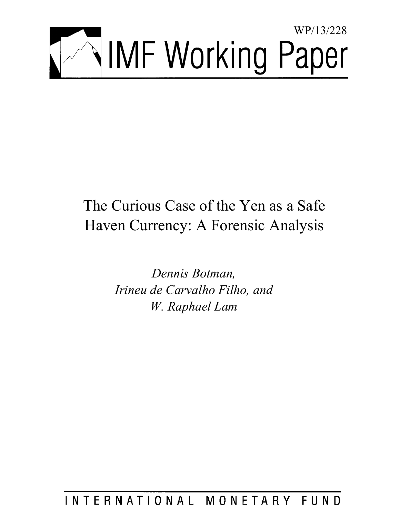

# The Curious Case of the Yen as a Safe Haven Currency: A Forensic Analysis

*Dennis Botman, Irineu de Carvalho Filho, and W. Raphael Lam* 

# INTERNATIONAL MONETARY FUND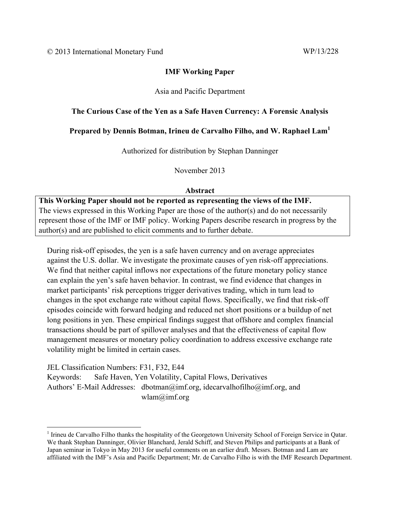# **IMF Working Paper**

# Asia and Pacific Department

# **The Curious Case of the Yen as a Safe Haven Currency: A Forensic Analysis**

# **Prepared by Dennis Botman, Irineu de Carvalho Filho, and W. Raphael Lam<sup>1</sup>**

Authorized for distribution by Stephan Danninger

November 2013

### **Abstract**

**This Working Paper should not be reported as representing the views of the IMF.** The views expressed in this Working Paper are those of the author(s) and do not necessarily represent those of the IMF or IMF policy. Working Papers describe research in progress by the author(s) and are published to elicit comments and to further debate.

During risk-off episodes, the yen is a safe haven currency and on average appreciates against the U.S. dollar. We investigate the proximate causes of yen risk-off appreciations. We find that neither capital inflows nor expectations of the future monetary policy stance can explain the yen's safe haven behavior. In contrast, we find evidence that changes in market participants' risk perceptions trigger derivatives trading, which in turn lead to changes in the spot exchange rate without capital flows. Specifically, we find that risk-off episodes coincide with forward hedging and reduced net short positions or a buildup of net long positions in yen. These empirical findings suggest that offshore and complex financial transactions should be part of spillover analyses and that the effectiveness of capital flow management measures or monetary policy coordination to address excessive exchange rate volatility might be limited in certain cases.

JEL Classification Numbers: F31, F32, E44 Keywords: Safe Haven, Yen Volatility, Capital Flows, Derivatives Authors' E-Mail Addresses: dbotman@imf.org, idecarvalhofilho@imf.org, and wlam@imf.org

<sup>&</sup>lt;sup>1</sup> Irineu de Carvalho Filho thanks the hospitality of the Georgetown University School of Foreign Service in Qatar. We thank Stephan Danninger, Olivier Blanchard, Jerald Schiff, and Steven Philips and participants at a Bank of Japan seminar in Tokyo in May 2013 for useful comments on an earlier draft. Messrs. Botman and Lam are affiliated with the IMF's Asia and Pacific Department; Mr. de Carvalho Filho is with the IMF Research Department.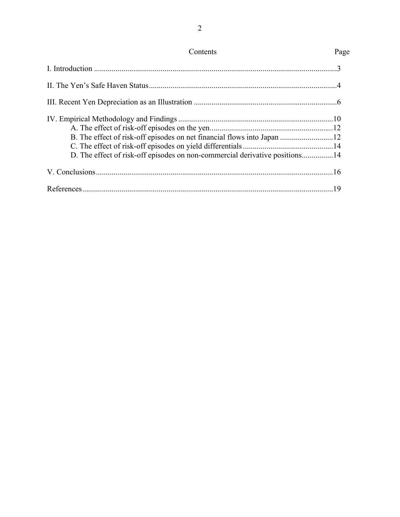| Contents                                                                    | Page |
|-----------------------------------------------------------------------------|------|
|                                                                             |      |
|                                                                             |      |
|                                                                             |      |
| D. The effect of risk-off episodes on non-commercial derivative positions14 |      |
|                                                                             |      |
|                                                                             |      |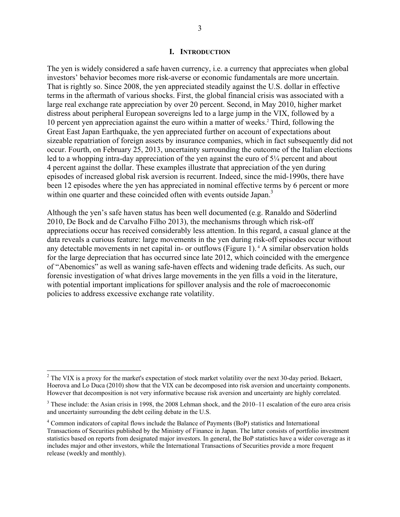#### **I. INTRODUCTION**

The yen is widely considered a safe haven currency, i.e. a currency that appreciates when global investors' behavior becomes more risk-averse or economic fundamentals are more uncertain. That is rightly so. Since 2008, the yen appreciated steadily against the U.S. dollar in effective terms in the aftermath of various shocks. First, the global financial crisis was associated with a large real exchange rate appreciation by over 20 percent. Second, in May 2010, higher market distress about peripheral European sovereigns led to a large jump in the VIX, followed by a 10 percent yen appreciation against the euro within a matter of weeks.<sup>2</sup> Third, following the Great East Japan Earthquake, the yen appreciated further on account of expectations about sizeable repatriation of foreign assets by insurance companies, which in fact subsequently did not occur. Fourth, on February 25, 2013, uncertainty surrounding the outcome of the Italian elections led to a whopping intra-day appreciation of the yen against the euro of 5<sup>1</sup>/4 percent and about 4 percent against the dollar. These examples illustrate that appreciation of the yen during episodes of increased global risk aversion is recurrent. Indeed, since the mid-1990s, there have been 12 episodes where the yen has appreciated in nominal effective terms by 6 percent or more within one quarter and these coincided often with events outside Japan.<sup>3</sup>

Although the yen's safe haven status has been well documented (e.g. Ranaldo and Söderlind 2010, De Bock and de Carvalho Filho 2013), the mechanisms through which risk-off appreciations occur has received considerably less attention. In this regard, a casual glance at the data reveals a curious feature: large movements in the yen during risk-off episodes occur without any detectable movements in net capital in- or outflows (Figure 1).<sup>4</sup> A similar observation holds for the large depreciation that has occurred since late 2012, which coincided with the emergence of "Abenomics" as well as waning safe-haven effects and widening trade deficits. As such, our forensic investigation of what drives large movements in the yen fills a void in the literature, with potential important implications for spillover analysis and the role of macroeconomic policies to address excessive exchange rate volatility.

 $\overline{a}$ 

 $2^2$  The VIX is a proxy for the market's expectation of stock market volatility over the next 30-day period. Bekaert, Hoerova and Lo Duca (2010) show that the VIX can be decomposed into risk aversion and uncertainty components. However that decomposition is not very informative because risk aversion and uncertainty are highly correlated.

 $3$  These include: the Asian crisis in 1998, the 2008 Lehman shock, and the 2010–11 escalation of the euro area crisis and uncertainty surrounding the debt ceiling debate in the U.S.

<sup>&</sup>lt;sup>4</sup> Common indicators of capital flows include the Balance of Payments (BoP) statistics and International Transactions of Securities published by the Ministry of Finance in Japan. The latter consists of portfolio investment statistics based on reports from designated major investors. In general, the BoP statistics have a wider coverage as it includes major and other investors, while the International Transactions of Securities provide a more frequent release (weekly and monthly).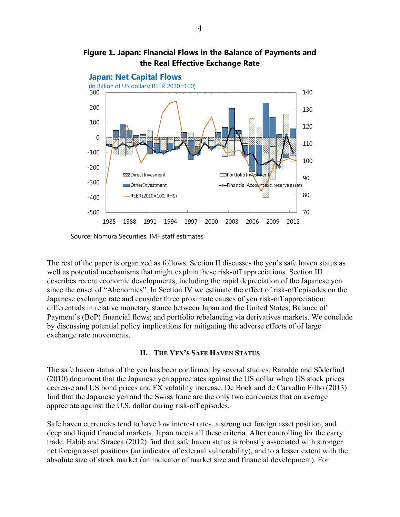



Source: Nomura Securities, IMF staff estimates

The rest of the paper is organized as follows. Section II discusses the yen's safe haven status as well as potential mechanisms that might explain these risk-off appreciations. Section III describes recent economic developments, including the rapid depreciation of the Japanese yen since the onset of "Abenomics". In Section IV we estimate the effect of risk-off episodes on the Japanese exchange rate and consider three proximate causes of yen risk-off appreciation: differentials in relative monetary stance between Japan and the United States; Balance of Payment's (BoP) financial flows; and portfolio rebalancing via derivatives markets. We conclude by discussing potential policy implications for mitigating the adverse effects of of large exchange rate movements.

#### **II. THE YEN'S SAFE HAVEN STATUS**

The safe haven status of the yen has been confirmed by several studies. Ranaldo and Söderlind (2010) document that the Japanese yen appreciates against the US dollar when US stock prices decrease and US bond prices and FX volatility increase. De Bock and de Carvalho Filho (2013) find that the Japanese yen and the Swiss franc are the only two currencies that on average appreciate against the U.S. dollar during risk-off episodes.

Safe haven currencies tend to have low interest rates, a strong net foreign asset position, and deep and liquid financial markets. Japan meets all these criteria. After controlling for the carry trade, Habib and Stracca (2012) find that safe haven status is robustly associated with stronger net foreign asset positions (an indicator of external vulnerability), and to a lesser extent with the absolute size of stock market (an indicator of market size and financial development). For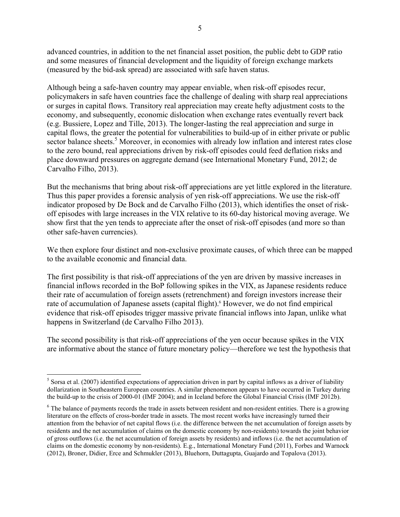advanced countries, in addition to the net financial asset position, the public debt to GDP ratio and some measures of financial development and the liquidity of foreign exchange markets (measured by the bid-ask spread) are associated with safe haven status.

Although being a safe-haven country may appear enviable, when risk-off episodes recur, policymakers in safe haven countries face the challenge of dealing with sharp real appreciations or surges in capital flows. Transitory real appreciation may create hefty adjustment costs to the economy, and subsequently, economic dislocation when exchange rates eventually revert back (e.g. Bussiere, Lopez and Tille, 2013). The longer-lasting the real appreciation and surge in capital flows, the greater the potential for vulnerabilities to build-up of in either private or public sector balance sheets.<sup>5</sup> Moreover, in economies with already low inflation and interest rates close to the zero bound, real appreciations driven by risk-off episodes could feed deflation risks and place downward pressures on aggregate demand (see International Monetary Fund, 2012; de Carvalho Filho, 2013).

But the mechanisms that bring about risk-off appreciations are yet little explored in the literature. Thus this paper provides a forensic analysis of yen risk-off appreciations. We use the risk-off indicator proposed by De Bock and de Carvalho Filho (2013), which identifies the onset of riskoff episodes with large increases in the VIX relative to its 60-day historical moving average. We show first that the yen tends to appreciate after the onset of risk-off episodes (and more so than other safe-haven currencies).

We then explore four distinct and non-exclusive proximate causes, of which three can be mapped to the available economic and financial data.

The first possibility is that risk-off appreciations of the yen are driven by massive increases in financial inflows recorded in the BoP following spikes in the VIX, as Japanese residents reduce their rate of accumulation of foreign assets (retrenchment) and foreign investors increase their rate of accumulation of Japanese assets (capital flight).<sup>6</sup> However, we do not find empirical evidence that risk-off episodes trigger massive private financial inflows into Japan, unlike what happens in Switzerland (de Carvalho Filho 2013).

The second possibility is that risk-off appreciations of the yen occur because spikes in the VIX are informative about the stance of future monetary policy—therefore we test the hypothesis that

 $\overline{a}$ 

 $<sup>5</sup>$  Sorsa et al. (2007) identified expectations of appreciation driven in part by capital inflows as a driver of liability</sup> dollarization in Southeastern European countries. A similar phenomenon appears to have occurred in Turkey during the build-up to the crisis of 2000-01 (IMF 2004); and in Iceland before the Global Financial Crisis (IMF 2012b).

<sup>&</sup>lt;sup>6</sup> The balance of payments records the trade in assets between resident and non-resident entities. There is a growing literature on the effects of cross-border trade in assets. The most recent works have increasingly turned their attention from the behavior of net capital flows (i.e. the difference between the net accumulation of foreign assets by residents and the net accumulation of claims on the domestic economy by non-residents) towards the joint behavior of gross outflows (i.e. the net accumulation of foreign assets by residents) and inflows (i.e. the net accumulation of claims on the domestic economy by non-residents). E.g., International Monetary Fund (2011), Forbes and Warnock (2012), Broner, Didier, Erce and Schmukler (2013), Bluehorn, Duttagupta, Guajardo and Topalova (2013).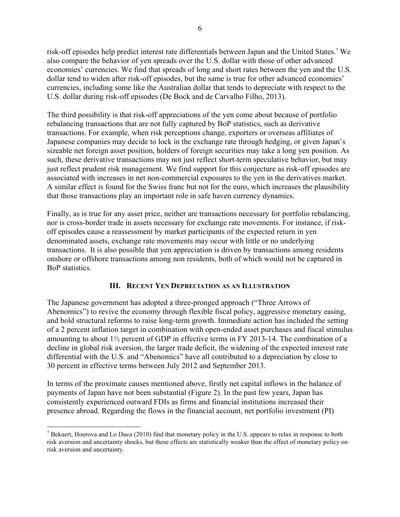risk-off episodes help predict interest rate differentials between Japan and the United States.7 We also compare the behavior of yen spreads over the U.S. dollar with those of other advanced economies' currencies. We find that spreads of long and short rates between the yen and the U.S. dollar tend to widen after risk-off episodes, but the same is true for other advanced economies' currencies, including some like the Australian dollar that tends to depreciate with respect to the U.S. dollar during risk-off episodes (De Bock and de Carvalho Filho, 2013).

The third possibility is that risk-off appreciations of the yen come about because of portfolio rebalancing transactions that are not fully captured by BoP statistics, such as derivative transactions. For example, when risk perceptions change, exporters or overseas affiliates of Japanese companies may decide to lock in the exchange rate through hedging, or given Japan's sizeable net foreign asset position, holders of foreign securities may take a long yen position. As such, these derivative transactions may not just reflect short-term speculative behavior, but may just reflect prudent risk management. We find support for this conjecture as risk-off episodes are associated with increases in net non-commercial exposures to the yen in the derivatives market. A similar effect is found for the Swiss franc but not for the euro, which increases the plausibility that those transactions play an important role in safe haven currency dynamics.

Finally, as is true for any asset price, neither are transactions necessary for portfolio rebalancing, nor is cross-border trade in assets necessary for exchange rate movements. For instance, if riskoff episodes cause a reassessment by market participants of the expected return in yen denominated assets, exchange rate movements may occur with little or no underlying transactions. It is also possible that yen appreciation is driven by transactions among residents onshore or offshore transactions among non residents, both of which would not be captured in BoP statistics.

### **III. RECENT YEN DEPRECIATION AS AN ILLUSTRATION**

The Japanese government has adopted a three-pronged approach ("Three Arrows of Abenomics") to revive the economy through flexible fiscal policy, aggressive monetary easing, and bold structural reforms to raise long-term growth. Immediate action has included the setting of a 2 percent inflation target in combination with open-ended asset purchases and fiscal stimulus amounting to about 1½ percent of GDP in effective terms in FY 2013-14. The combination of a decline in global risk aversion, the larger trade deficit, the widening of the expected interest rate differential with the U.S. and "Abenomics" have all contributed to a depreciation by close to 30 percent in effective terms between July 2012 and September 2013.

In terms of the proximate causes mentioned above, firstly net capital inflows in the balance of payments of Japan have not been substantial (Figure 2). In the past few years, Japan has consistently experienced outward FDIs as firms and financial institutions increased their presence abroad. Regarding the flows in the financial account, net portfolio investment (PI)

 $\overline{a}$ 

<sup>&</sup>lt;sup>7</sup> Bekaert, Hoerova and Lo Duca (2010) find that monetary policy in the U.S. appears to relax in response to both risk aversion and uncertainty shocks, but these effects are statistically weaker than the effect of monetary policy on risk aversion and uncertainty.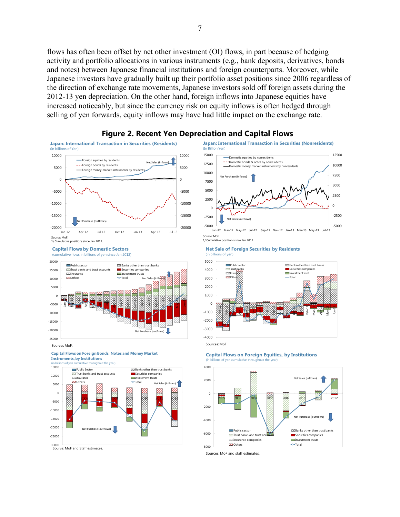flows has often been offset by net other investment (OI) flows, in part because of hedging activity and portfolio allocations in various instruments (e.g., bank deposits, derivatives, bonds and notes) between Japanese financial institutions and foreign counterparts. Moreover, while Japanese investors have gradually built up their portfolio asset positions since 2006 regardless of the direction of exchange rate movements, Japanese investors sold off foreign assets during the 2012-13 yen depreciation. On the other hand, foreign inflows into Japanese equities have increased noticeably, but since the currency risk on equity inflows is often hedged through selling of yen forwards, equity inflows may have had little impact on the exchange rate.



#### **Figure 2. Recent Yen Depreciation and Capital Flows**

(In Billion Yen)

**Net Sale of Foreign Securities by Residents** (in billions of yen)

-Domestic equities by nonresidents Domestic bonds & notes by nonreside Domestic money market instruments by nonresidents

chase (inflows)

Net Sales (outflows)

**Japan: International Transaction in Securities (Nonresidents)**





(in billions of yen cumulative throughout the year)

**Capital Flows by Domestic Sectors**<br>Compulative flows in billions of ven since Jan 2011 (cumulative flows in billions of yen since Jan 2012)



-30000 Source: MoF and Staff estimates.



**Capital Flows on Foreign Equities, by Institutions** e year



Sources: MoF and staff estimates.

0 2500 5000

-5000 -2500

7500 10000 12500

Jan-12 Mar-12 May-12 Jul-12 Sep-12 Nov-12 Jan-13 Mar-13 May-13 Jul-13

Source: MoF. 1/ Cumulative positions since Jan 2012.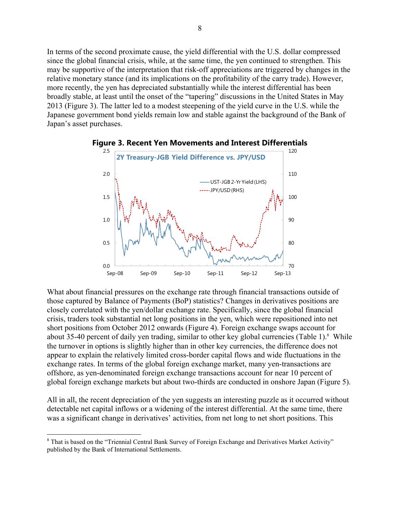In terms of the second proximate cause, the yield differential with the U.S. dollar compressed since the global financial crisis, while, at the same time, the yen continued to strengthen. This may be supportive of the interpretation that risk-off appreciations are triggered by changes in the relative monetary stance (and its implications on the profitability of the carry trade). However, more recently, the yen has depreciated substantially while the interest differential has been broadly stable, at least until the onset of the "tapering" discussions in the United States in May 2013 (Figure 3). The latter led to a modest steepening of the yield curve in the U.S. while the Japanese government bond yields remain low and stable against the background of the Bank of Japan's asset purchases.



#### **Figure 3. Recent Yen Movements and Interest Differentials**

What about financial pressures on the exchange rate through financial transactions outside of those captured by Balance of Payments (BoP) statistics? Changes in derivatives positions are closely correlated with the yen/dollar exchange rate. Specifically, since the global financial crisis, traders took substantial net long positions in the yen, which were repositioned into net short positions from October 2012 onwards (Figure 4). Foreign exchange swaps account for about 35-40 percent of daily yen trading, similar to other key global currencies (Table 1).<sup>8</sup> While the turnover in options is slightly higher than in other key currencies, the difference does not appear to explain the relatively limited cross-border capital flows and wide fluctuations in the exchange rates. In terms of the global foreign exchange market, many yen-transactions are offshore, as yen-denominated foreign exchange transactions account for near 10 percent of global foreign exchange markets but about two-thirds are conducted in onshore Japan (Figure 5).

All in all, the recent depreciation of the yen suggests an interesting puzzle as it occurred without detectable net capital inflows or a widening of the interest differential. At the same time, there was a significant change in derivatives' activities, from net long to net short positions. This

1

<sup>&</sup>lt;sup>8</sup> That is based on the "Triennial Central Bank Survey of Foreign Exchange and Derivatives Market Activity" published by the Bank of International Settlements.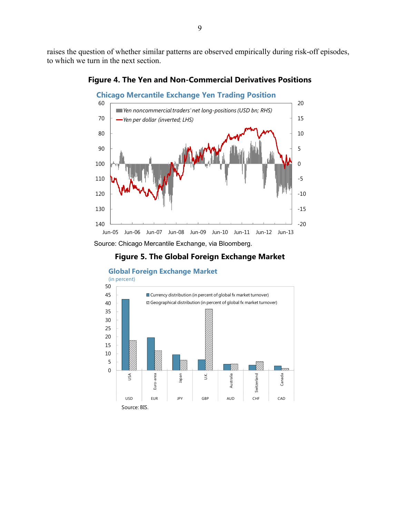raises the question of whether similar patterns are observed empirically during risk-off episodes, to which we turn in the next section.



**Figure 4. The Yen and Non-Commercial Derivatives Positions**

Source: Chicago Mercantile Exchange, via Bloomberg.





**Global Foreign Exchange Market**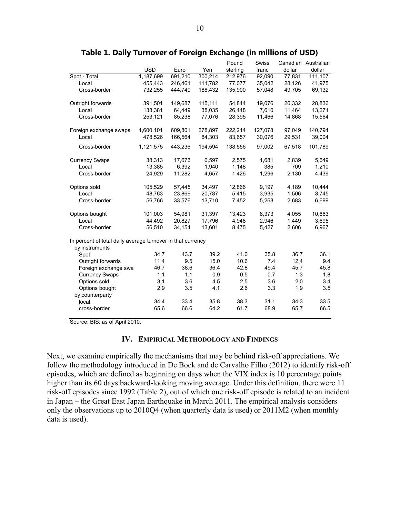|                                                             |            |         |         | Pound    | <b>Swiss</b> |        | Canadian Australian |
|-------------------------------------------------------------|------------|---------|---------|----------|--------------|--------|---------------------|
|                                                             | <b>USD</b> | Euro    | Yen     | sterling | franc        | dollar | dollar              |
| Spot - Total                                                | 1,187,699  | 691,210 | 300,214 | 212,976  | 92,090       | 77,831 | 111,107             |
| Local                                                       | 455,443    | 246,461 | 111,782 | 77,077   | 35,042       | 28,126 | 41,975              |
| Cross-border                                                | 732,255    | 444,749 | 188,432 | 135,900  | 57,048       | 49,705 | 69,132              |
| Outright forwards                                           | 391,501    | 149,687 | 115,111 | 54,844   | 19,076       | 26,332 | 28,836              |
| Local                                                       | 138,381    | 64,449  | 38,035  | 26,448   | 7,610        | 11,464 | 13,271              |
| Cross-border                                                | 253,121    | 85,238  | 77,076  | 28,395   | 11,466       | 14,868 | 15,564              |
| Foreign exchange swaps                                      | 1,600,101  | 609,801 | 278,897 | 222,214  | 127,078      | 97,049 | 140,794             |
| Local                                                       | 478,526    | 166,564 | 84,303  | 83,657   | 30,076       | 29,531 | 39,004              |
| Cross-border                                                | 1,121,575  | 443,236 | 194,594 | 138,556  | 97,002       | 67,518 | 101,789             |
| <b>Currency Swaps</b>                                       | 38,313     | 17,673  | 6,597   | 2,575    | 1,681        | 2,839  | 5,649               |
| Local                                                       | 13,385     | 6,392   | 1,940   | 1,148    | 385          | 709    | 1,210               |
| Cross-border                                                | 24,929     | 11,282  | 4,657   | 1,426    | 1,296        | 2,130  | 4,439               |
| Options sold                                                | 105,529    | 57,445  | 34,497  | 12,866   | 9,197        | 4,189  | 10,444              |
| Local                                                       | 48,763     | 23,869  | 20,787  | 5,415    | 3,935        | 1,506  | 3,745               |
| Cross-border                                                | 56,766     | 33,576  | 13,710  | 7,452    | 5,263        | 2,683  | 6,699               |
| Options bought                                              | 101,003    | 54,981  | 31,397  | 13,423   | 8,373        | 4,055  | 10,663              |
| Local                                                       | 44,492     | 20,827  | 17,796  | 4,948    | 2,946        | 1,449  | 3,695               |
| Cross-border                                                | 56,510     | 34,154  | 13,601  | 8,475    | 5,427        | 2,606  | 6,967               |
| In percent of total daily average turnover in that currency |            |         |         |          |              |        |                     |
| by instruments<br>Spot                                      | 34.7       | 43.7    | 39.2    | 41.0     | 35.8         | 36.7   | 36.1                |
| Outright forwards                                           | 11.4       | 9.5     | 15.0    | 10.6     | 7.4          | 12.4   | 9.4                 |
| Foreign exchange swa                                        | 46.7       | 38.6    | 36.4    | 42.8     | 49.4         | 45.7   | 45.8                |
| <b>Currency Swaps</b>                                       | 1.1        | 1.1     | 0.9     | 0.5      | 0.7          | 1.3    | 1.8                 |
| Options sold                                                | 3.1        | 3.6     | 4.5     | 2.5      | 3.6          | 2.0    | 3.4                 |
| Options bought                                              | 2.9        | 3.5     | 4.1     | 2.6      | 3.3          | 1.9    | 3.5                 |
| by counterparty                                             |            |         |         |          |              |        |                     |
| local                                                       | 34.4       | 33.4    | 35.8    | 38.3     | 31.1         | 34.3   | 33.5                |
| cross-border                                                | 65.6       | 66.6    | 64.2    | 61.7     | 68.9         | 65.7   | 66.5                |

#### **Table 1. Daily Turnover of Foreign Exchange (in millions of USD)**

Source: BIS; as of April 2010.

#### **IV. EMPIRICAL METHODOLOGY AND FINDINGS**

Next, we examine empirically the mechanisms that may be behind risk-off appreciations. We follow the methodology introduced in De Bock and de Carvalho Filho (2012) to identify risk-off episodes, which are defined as beginning on days when the VIX index is 10 percentage points higher than its 60 days backward-looking moving average. Under this definition, there were 11 risk-off episodes since 1992 (Table 2), out of which one risk-off episode is related to an incident in Japan – the Great East Japan Earthquake in March 2011. The empirical analysis considers only the observations up to 2010Q4 (when quarterly data is used) or 2011M2 (when monthly data is used).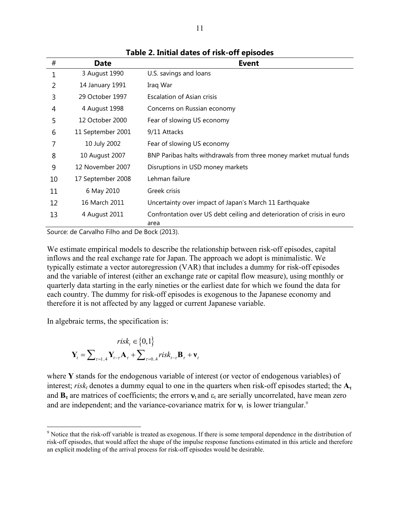| #  | <b>Date</b>       | <b>Event</b>                                                                   |
|----|-------------------|--------------------------------------------------------------------------------|
| 1  | 3 August 1990     | U.S. savings and loans                                                         |
| 2  | 14 January 1991   | Iraq War                                                                       |
| 3  | 29 October 1997   | Escalation of Asian crisis                                                     |
| 4  | 4 August 1998     | Concerns on Russian economy                                                    |
| 5  | 12 October 2000   | Fear of slowing US economy                                                     |
| 6  | 11 September 2001 | 9/11 Attacks                                                                   |
| 7  | 10 July 2002      | Fear of slowing US economy                                                     |
| 8  | 10 August 2007    | BNP Paribas halts withdrawals from three money market mutual funds             |
| 9  | 12 November 2007  | Disruptions in USD money markets                                               |
| 10 | 17 September 2008 | Lehman failure                                                                 |
| 11 | 6 May 2010        | Greek crisis                                                                   |
| 12 | 16 March 2011     | Uncertainty over impact of Japan's March 11 Earthquake                         |
| 13 | 4 August 2011     | Confrontation over US debt ceiling and deterioration of crisis in euro<br>area |

**Table 2. Initial dates of risk-off episodes** 

Source: de Carvalho Filho and De Bock (2013).

We estimate empirical models to describe the relationship between risk-off episodes, capital inflows and the real exchange rate for Japan. The approach we adopt is minimalistic. We typically estimate a vector autoregression (VAR) that includes a dummy for risk-off episodes and the variable of interest (either an exchange rate or capital flow measure), using monthly or quarterly data starting in the early nineties or the earliest date for which we found the data for each country. The dummy for risk-off episodes is exogenous to the Japanese economy and therefore it is not affected by any lagged or current Japanese variable.

In algebraic terms, the specification is:

<u>.</u>

$$
risk_t \in \{0, 1\}
$$

$$
\mathbf{Y}_t = \sum_{\tau=1..4} \mathbf{Y}_{t-\tau} \mathbf{A}_{\tau} + \sum_{\tau=0..4} risk_{t-\tau} \mathbf{B}_{\tau} + \mathbf{v}_t
$$

where **Y** stands for the endogenous variable of interest (or vector of endogenous variables) of interest;  $risk<sub>t</sub>$  denotes a dummy equal to one in the quarters when risk-off episodes started; the  $A<sub>\tau</sub>$ and  $\mathbf{B}_{\tau}$  are matrices of coefficients; the errors  $\mathbf{v}_t$  and  $\epsilon_t$  are serially uncorrelated, have mean zero and are independent; and the variance-covariance matrix for  $v_t$  is lower triangular.<sup>9</sup>

<sup>&</sup>lt;sup>9</sup> Notice that the risk-off variable is treated as exogenous. If there is some temporal dependence in the distribution of risk-off episodes, that would affect the shape of the impulse response functions estimated in this article and therefore an explicit modeling of the arrival process for risk-off episodes would be desirable.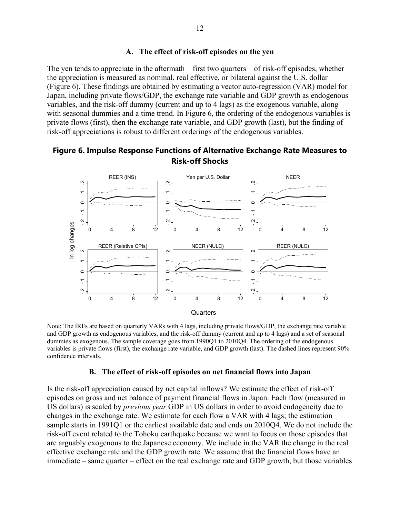#### **A. The effect of risk-off episodes on the yen**

The yen tends to appreciate in the aftermath – first two quarters – of risk-off episodes, whether the appreciation is measured as nominal, real effective, or bilateral against the U.S. dollar (Figure 6). These findings are obtained by estimating a vector auto-regression (VAR) model for Japan, including private flows/GDP, the exchange rate variable and GDP growth as endogenous variables, and the risk-off dummy (current and up to 4 lags) as the exogenous variable, along with seasonal dummies and a time trend. In Figure 6, the ordering of the endogenous variables is private flows (first), then the exchange rate variable, and GDP growth (last), but the finding of risk-off appreciations is robust to different orderings of the endogenous variables.

# **Example 2018**<br> **Example 2018**<br> **Example 2019**<br> **Example 2019**<br> **Example 2019**<br> **Example 2019**<br> **Example 2019**<br> **Example 2019**<br> **Example 2019**<br> **Example 2019**<br> **Example 2019**<br> **Example 2019**<br> **Example 2019**<br> **Example 2019** 0 4 8 12 REER (INS) -.2 -.1 0 .1 .2 0 4 8 12 Yen per U.S. Dollar -.2 -.1 0 .1 .2 0 4 8 12 NEER -.2 -.1 0 .1 .2 0 4 8 12 REER (Relative CPIs) -.2 -.1 0 .1 .2 0 4 8 12 NEER (NULC) -.2 -.1 0 .1 .2 0 4 8 12 REER (NULC) In log changes **Quarters**

### **Figure 6. Impulse Response Functions of Alternative Exchange Rate Measures to Risk-off Shocks**

Note: The IRFs are based on quarterly VARs with 4 lags, including private flows/GDP, the exchange rate variable and GDP growth as endogenous variables, and the risk-off dummy (current and up to 4 lags) and a set of seasonal dummies as exogenous. The sample coverage goes from 1990Q1 to 2010Q4. The ordering of the endogenous variables is private flows (first), the exchange rate variable, and GDP growth (last). The dashed lines represent 90% confidence intervals.

#### **B. The effect of risk-off episodes on net financial flows into Japan**

Is the risk-off appreciation caused by net capital inflows? We estimate the effect of risk-off episodes on gross and net balance of payment financial flows in Japan. Each flow (measured in US dollars) is scaled by *previous year* GDP in US dollars in order to avoid endogeneity due to changes in the exchange rate. We estimate for each flow a VAR with 4 lags; the estimation sample starts in 1991Q1 or the earliest available date and ends on 2010Q4. We do not include the risk-off event related to the Tohoku earthquake because we want to focus on those episodes that are arguably exogenous to the Japanese economy. We include in the VAR the change in the real effective exchange rate and the GDP growth rate. We assume that the financial flows have an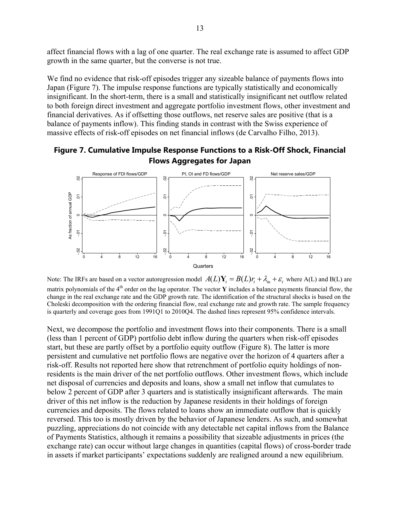affect financial flows with a lag of one quarter. The real exchange rate is assumed to affect GDP growth in the same quarter, but the converse is not true.

We find no evidence that risk-off episodes trigger any sizeable balance of payments flows into Japan (Figure 7). The impulse response functions are typically statistically and economically insignificant. In the short-term, there is a small and statistically insignificant net outflow related to both foreign direct investment and aggregate portfolio investment flows, other investment and financial derivatives. As if offsetting those outflows, net reserve sales are positive (that is a balance of payments inflow). This finding stands in contrast with the Swiss experience of massive effects of risk-off episodes on net financial inflows (de Carvalho Filho, 2013).

# **Figure 7. Cumulative Impulse Response Functions to a Risk-Off Shock, Financial Flows Aggregates for Japan**



Note: The IRFs are based on a vector autoregression model  $A(L)Y_t = B(L)r_t + \lambda_m + \varepsilon_t$ , where A(L) and B(L) are matrix polynomials of the 4<sup>th</sup> order on the lag operator. The vector **Y** includes a balance payments financial flow, the change in the real exchange rate and the GDP growth rate. The identification of the structural shocks is based on the Choleski decomposition with the ordering financial flow, real exchange rate and growth rate. The sample frequency is quarterly and coverage goes from 1991Q1 to 2010Q4. The dashed lines represent 95% confidence intervals.

Next, we decompose the portfolio and investment flows into their components. There is a small (less than 1 percent of GDP) portfolio debt inflow during the quarters when risk-off episodes start, but these are partly offset by a portfolio equity outflow (Figure 8). The latter is more persistent and cumulative net portfolio flows are negative over the horizon of 4 quarters after a risk-off. Results not reported here show that retrenchment of portfolio equity holdings of nonresidents is the main driver of the net portfolio outflows. Other investment flows, which include net disposal of currencies and deposits and loans, show a small net inflow that cumulates to below 2 percent of GDP after 3 quarters and is statistically insignificant afterwards. The main driver of this net inflow is the reduction by Japanese residents in their holdings of foreign currencies and deposits. The flows related to loans show an immediate outflow that is quickly reversed. This too is mostly driven by the behavior of Japanese lenders. As such, and somewhat puzzling, appreciations do not coincide with any detectable net capital inflows from the Balance of Payments Statistics, although it remains a possibility that sizeable adjustments in prices (the exchange rate) can occur without large changes in quantities (capital flows) of cross-border trade **Example 19**<br> **Example 19**<br> **Example 19**<br> **Example 19**<br> **Example 19**<br> **Example 19**<br> **Example 19**<br> **Example 19**<br> **Example 19**<br> **Example 19**<br> **Example 19**<br> **Example 19**<br> **Example 19**<br> **Example 19**<br> **Example 19**<br> **Example 19**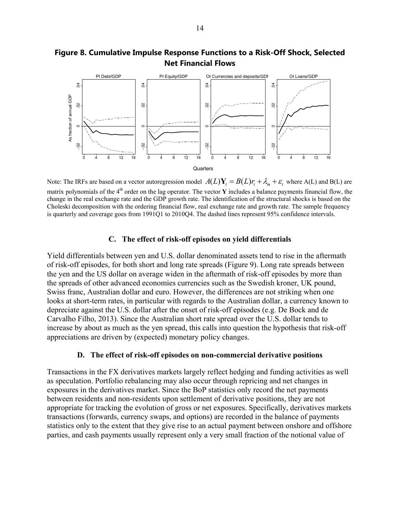

# **Figure 8. Cumulative Impulse Response Functions to a Risk-Off Shock, Selected Net Financial Flows**

Note: The IRFs are based on a vector autoregression model  $A(L)Y_t = B(L)r_t + \lambda_m + \varepsilon_t$  where A(L) and B(L) are matrix polynomials of the 4<sup>th</sup> order on the lag operator. The vector **Y** includes a balance payments financial flow, the change in the real exchange rate and the GDP growth rate. The identification of the structural shocks is based on the Choleski decomposition with the ordering financial flow, real exchange rate and growth rate. The sample frequency is quarterly and coverage goes from 1991Q1 to 2010Q4. The dashed lines represent 95% confidence intervals.

#### **C. The effect of risk-off episodes on yield differentials**

Yield differentials between yen and U.S. dollar denominated assets tend to rise in the aftermath of risk-off episodes, for both short and long rate spreads (Figure 9). Long rate spreads between the yen and the US dollar on average widen in the aftermath of risk-off episodes by more than the spreads of other advanced economies currencies such as the Swedish kroner, UK pound, Swiss franc, Australian dollar and euro. However, the differences are not striking when one looks at short-term rates, in particular with regards to the Australian dollar, a currency known to depreciate against the U.S. dollar after the onset of risk-off episodes (e.g. De Bock and de Carvalho Filho, 2013). Since the Australian short rate spread over the U.S. dollar tends to increase by about as much as the yen spread, this calls into question the hypothesis that risk-off appreciations are driven by (expected) monetary policy changes. **Particles**<br> **Example 18**<br> **Example 18**<br> **Example 18**<br> **Example 18**<br> **Example 18**<br> **Example 18**<br> **Example 18**<br> **Example 18**<br> **Example 18**<br> **Example 18**<br> **Example 18**<br> **Example 18**<br> **Example 18**<br> **Example 18**<br> **Example 18** 

#### **D. The effect of risk-off episodes on non-commercial derivative positions**

Transactions in the FX derivatives markets largely reflect hedging and funding activities as well as speculation. Portfolio rebalancing may also occur through repricing and net changes in exposures in the derivatives market. Since the BoP statistics only record the net payments between residents and non-residents upon settlement of derivative positions, they are not appropriate for tracking the evolution of gross or net exposures. Specifically, derivatives markets transactions (forwards, currency swaps, and options) are recorded in the balance of payments statistics only to the extent that they give rise to an actual payment between onshore and offshore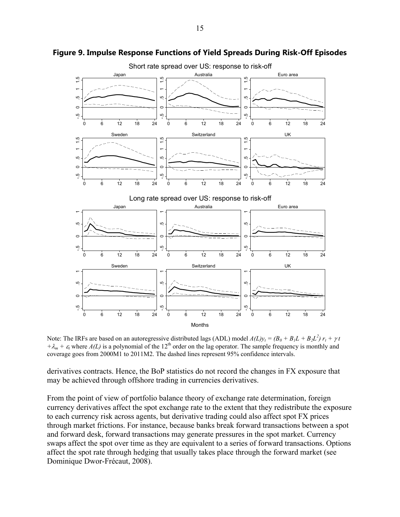

#### **Figure 9. Impulse Response Functions of Yield Spreads During Risk-Off Episodes**

Note: The IRFs are based on an autoregressive distributed lags (ADL) model  $A(L)y_t = (B_0 + B_1L + B_2L^2) r_t + \gamma t$  $+A_m + \epsilon_i$  where  $A(L)$  is a polynomial of the 12<sup>th</sup> order on the lag operator. The sample frequency is monthly and coverage goes from 2000M1 to 2011M2. The dashed lines represent 95% confidence intervals.

derivatives contracts. Hence, the BoP statistics do not record the changes in FX exposure that may be achieved through offshore trading in currencies derivatives.

From the point of view of portfolio balance theory of exchange rate determination, foreign currency derivatives affect the spot exchange rate to the extent that they redistribute the exposure to each currency risk across agents, but derivative trading could also affect spot FX prices through market frictions. For instance, because banks break forward transactions between a spot and forward desk, forward transactions may generate pressures in the spot market. Currency swaps affect the spot over time as they are equivalent to a series of forward transactions. Options affect the spot rate through hedging that usually takes place through the forward market (see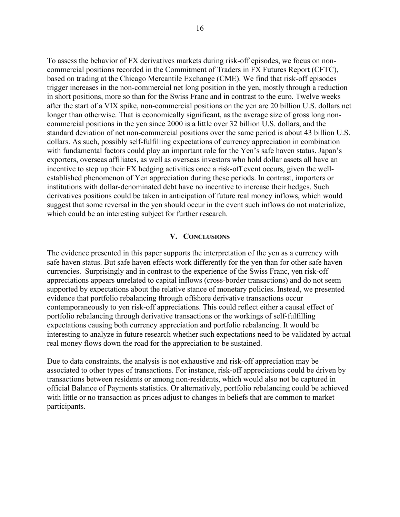To assess the behavior of FX derivatives markets during risk-off episodes, we focus on noncommercial positions recorded in the Commitment of Traders in FX Futures Report (CFTC), based on trading at the Chicago Mercantile Exchange (CME). We find that risk-off episodes trigger increases in the non-commercial net long position in the yen, mostly through a reduction in short positions, more so than for the Swiss Franc and in contrast to the euro. Twelve weeks after the start of a VIX spike, non-commercial positions on the yen are 20 billion U.S. dollars net longer than otherwise. That is economically significant, as the average size of gross long noncommercial positions in the yen since 2000 is a little over 32 billion U.S. dollars, and the standard deviation of net non-commercial positions over the same period is about 43 billion U.S. dollars. As such, possibly self-fulfilling expectations of currency appreciation in combination with fundamental factors could play an important role for the Yen's safe haven status. Japan's exporters, overseas affiliates, as well as overseas investors who hold dollar assets all have an incentive to step up their FX hedging activities once a risk-off event occurs, given the wellestablished phenomenon of Yen appreciation during these periods. In contrast, importers or institutions with dollar-denominated debt have no incentive to increase their hedges. Such derivatives positions could be taken in anticipation of future real money inflows, which would suggest that some reversal in the yen should occur in the event such inflows do not materialize, which could be an interesting subject for further research.

#### **V. CONCLUSIONS**

The evidence presented in this paper supports the interpretation of the yen as a currency with safe haven status. But safe haven effects work differently for the yen than for other safe haven currencies. Surprisingly and in contrast to the experience of the Swiss Franc, yen risk-off appreciations appears unrelated to capital inflows (cross-border transactions) and do not seem supported by expectations about the relative stance of monetary policies. Instead, we presented evidence that portfolio rebalancing through offshore derivative transactions occur contemporaneously to yen risk-off appreciations. This could reflect either a causal effect of portfolio rebalancing through derivative transactions or the workings of self-fulfilling expectations causing both currency appreciation and portfolio rebalancing. It would be interesting to analyze in future research whether such expectations need to be validated by actual real money flows down the road for the appreciation to be sustained.

Due to data constraints, the analysis is not exhaustive and risk-off appreciation may be associated to other types of transactions. For instance, risk-off appreciations could be driven by transactions between residents or among non-residents, which would also not be captured in official Balance of Payments statistics. Or alternatively, portfolio rebalancing could be achieved with little or no transaction as prices adjust to changes in beliefs that are common to market participants.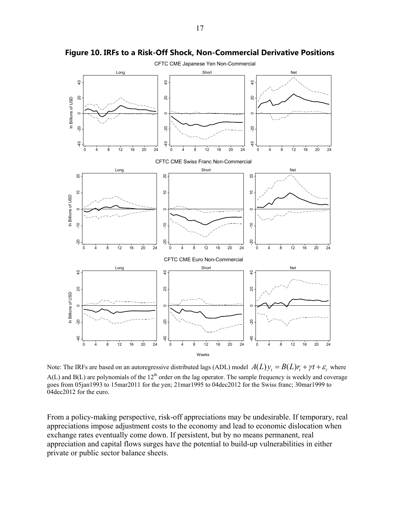

**Figure 10. IRFs to a Risk-Off Shock, Non-Commercial Derivative Positions** 

Note: The IRFs are based on an autoregressive distributed lags (ADL) model  $A(L)y = B(L)r + \gamma t + \varepsilon$ , where  $A(L)$  and  $B(L)$  are polynomials of the 12<sup>th</sup> order on the lag operator. The sample frequency is weekly and coverage goes from 05jan1993 to 15mar2011 for the yen; 21mar1995 to 04dec2012 for the Swiss franc; 30mar1999 to 04dec2012 for the euro.

From a policy-making perspective, risk-off appreciations may be undesirable. If temporary, real appreciations impose adjustment costs to the economy and lead to economic dislocation when exchange rates eventually come down. If persistent, but by no means permanent, real appreciation and capital flows surges have the potential to build-up vulnerabilities in either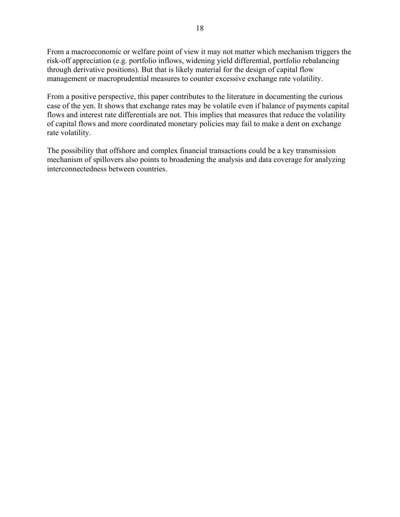From a macroeconomic or welfare point of view it may not matter which mechanism triggers the risk-off appreciation (e.g. portfolio inflows, widening yield differential, portfolio rebalancing through derivative positions). But that is likely material for the design of capital flow management or macroprudential measures to counter excessive exchange rate volatility.

From a positive perspective, this paper contributes to the literature in documenting the curious case of the yen. It shows that exchange rates may be volatile even if balance of payments capital flows and interest rate differentials are not. This implies that measures that reduce the volatility of capital flows and more coordinated monetary policies may fail to make a dent on exchange rate volatility.

The possibility that offshore and complex financial transactions could be a key transmission mechanism of spillovers also points to broadening the analysis and data coverage for analyzing interconnectedness between countries.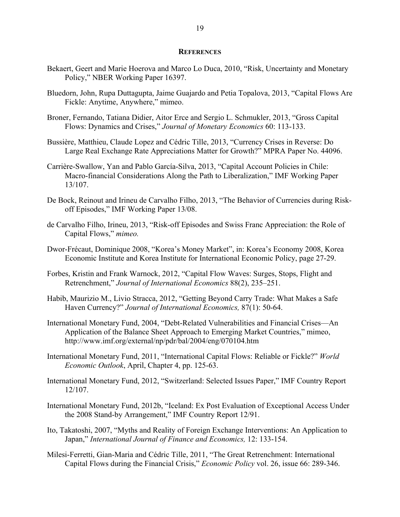#### **REFERENCES**

- Bekaert, Geert and Marie Hoerova and Marco Lo Duca, 2010, "Risk, Uncertainty and Monetary Policy," NBER Working Paper 16397.
- Bluedorn, John, Rupa Duttagupta, Jaime Guajardo and Petia Topalova, 2013, "Capital Flows Are Fickle: Anytime, Anywhere," mimeo.
- Broner, Fernando, Tatiana Didier, Aitor Erce and Sergio L. Schmukler, 2013, "Gross Capital Flows: Dynamics and Crises," *Journal of Monetary Economics* 60: 113-133.
- Bussière, Matthieu, Claude Lopez and Cédric Tille, 2013, "Currency Crises in Reverse: Do Large Real Exchange Rate Appreciations Matter for Growth?" MPRA Paper No. 44096.
- Carrière-Swallow, Yan and Pablo García-Silva, 2013, "Capital Account Policies in Chile: Macro-financial Considerations Along the Path to Liberalization," IMF Working Paper 13/107.
- De Bock, Reinout and Irineu de Carvalho Filho, 2013, "The Behavior of Currencies during Riskoff Episodes," IMF Working Paper 13/08.
- de Carvalho Filho, Irineu, 2013, "Risk-off Episodes and Swiss Franc Appreciation: the Role of Capital Flows," *mimeo.*
- Dwor-Frécaut, Dominique 2008, "Korea's Money Market", in: Korea's Economy 2008, Korea Economic Institute and Korea Institute for International Economic Policy, page 27-29.
- Forbes, Kristin and Frank Warnock, 2012, "Capital Flow Waves: Surges, Stops, Flight and Retrenchment," *Journal of International Economics* 88(2), 235–251.
- Habib, Maurizio M., Livio Stracca, 2012, "Getting Beyond Carry Trade: What Makes a Safe Haven Currency?" *Journal of International Economics,* 87(1): 50-64.
- International Monetary Fund, 2004, "Debt-Related Vulnerabilities and Financial Crises—An Application of the Balance Sheet Approach to Emerging Market Countries," mimeo, http://www.imf.org/external/np/pdr/bal/2004/eng/070104.htm
- International Monetary Fund, 2011, "International Capital Flows: Reliable or Fickle?" *World Economic Outlook*, April, Chapter 4, pp. 125-63.
- International Monetary Fund, 2012, "Switzerland: Selected Issues Paper," IMF Country Report 12/107.
- International Monetary Fund, 2012b, "Iceland: Ex Post Evaluation of Exceptional Access Under the 2008 Stand-by Arrangement," IMF Country Report 12/91.
- Ito, Takatoshi, 2007, "Myths and Reality of Foreign Exchange Interventions: An Application to Japan," *International Journal of Finance and Economics,* 12: 133-154.
- Milesi-Ferretti, Gian-Maria and Cédric Tille, 2011, "The Great Retrenchment: International Capital Flows during the Financial Crisis," *Economic Policy* vol. 26, issue 66: 289-346.